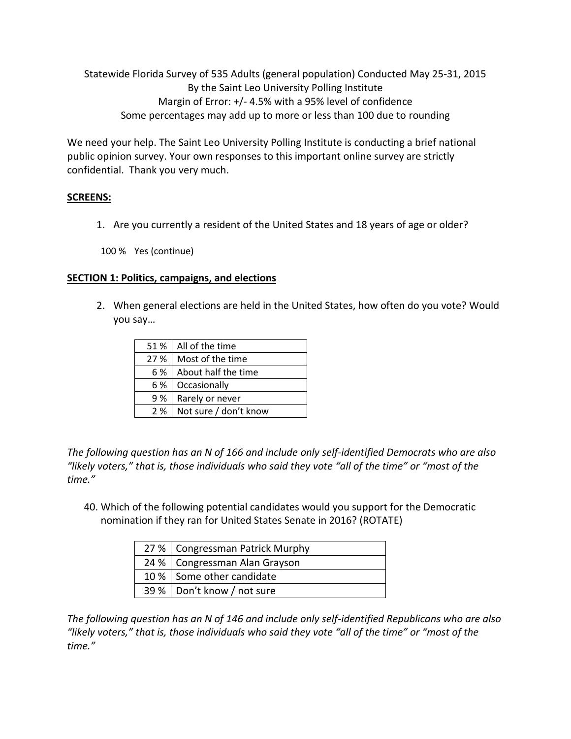Statewide Florida Survey of 535 Adults (general population) Conducted May 25-31, 2015 By the Saint Leo University Polling Institute Margin of Error: +/- 4.5% with a 95% level of confidence Some percentages may add up to more or less than 100 due to rounding

We need your help. The Saint Leo University Polling Institute is conducting a brief national public opinion survey. Your own responses to this important online survey are strictly confidential. Thank you very much.

# **SCREENS:**

1. Are you currently a resident of the United States and 18 years of age or older?

100 % Yes (continue)

## **SECTION 1: Politics, campaigns, and elections**

2. When general elections are held in the United States, how often do you vote? Would you say…

| 51 % | All of the time       |
|------|-----------------------|
| 27%  | Most of the time      |
| 6 %  | About half the time   |
| 6 %  | Occasionally          |
| 9 %  | Rarely or never       |
| 2%   | Not sure / don't know |

*The following question has an N of 166 and include only self-identified Democrats who are also "likely voters," that is, those individuals who said they vote "all of the time" or "most of the time."* 

40. Which of the following potential candidates would you support for the Democratic nomination if they ran for United States Senate in 2016? (ROTATE)

| 27 %   Congressman Patrick Murphy |
|-----------------------------------|
| 24 %   Congressman Alan Grayson   |
| 10 % Some other candidate         |
| 39 %   Don't know / not sure      |

*The following question has an N of 146 and include only self-identified Republicans who are also "likely voters," that is, those individuals who said they vote "all of the time" or "most of the time."*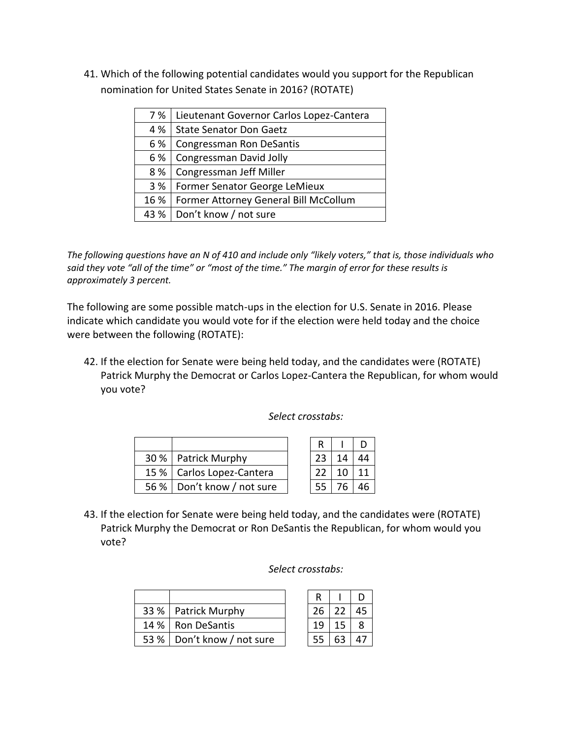41. Which of the following potential candidates would you support for the Republican nomination for United States Senate in 2016? (ROTATE)

| 7 %  | Lieutenant Governor Carlos Lopez-Cantera |
|------|------------------------------------------|
| 4 %  | <b>State Senator Don Gaetz</b>           |
| 6 %  | Congressman Ron DeSantis                 |
| 6 %  | Congressman David Jolly                  |
| 8 %  | Congressman Jeff Miller                  |
| 3 %  | Former Senator George LeMieux            |
| 16 % | Former Attorney General Bill McCollum    |
| 43 % | Don't know / not sure                    |
|      |                                          |

*The following questions have an N of 410 and include only "likely voters," that is, those individuals who*  said they vote "all of the time" or "most of the time." The margin of error for these results is *approximately 3 percent.*

The following are some possible match-ups in the election for U.S. Senate in 2016. Please indicate which candidate you would vote for if the election were held today and the choice were between the following (ROTATE):

42. If the election for Senate were being held today, and the candidates were (ROTATE) Patrick Murphy the Democrat or Carlos Lopez-Cantera the Republican, for whom would you vote?

## *Select crosstabs:*

|  | 30 %   Patrick Murphy        | つっ  | 1 <sub>1</sub> | 44 |
|--|------------------------------|-----|----------------|----|
|  | 15 %   Carlos Lopez-Cantera  | 22  |                | 11 |
|  | 56 %   Don't know / not sure | -55 |                | 46 |

43. If the election for Senate were being held today, and the candidates were (ROTATE) Patrick Murphy the Democrat or Ron DeSantis the Republican, for whom would you vote?

### *Select crosstabs:*

|  | 33 %   Patrick Murphy        |    | 26 22           | 45 |
|--|------------------------------|----|-----------------|----|
|  | 14 %   Ron DeSantis          | 19 | 15 <sub>1</sub> |    |
|  | 53 %   Don't know / not sure |    | $55 \mid 63$    | 47 |

| R  |    | Е  |
|----|----|----|
| 26 | 22 | 45 |
| 19 | 15 | 8  |
| 55 | 63 | 47 |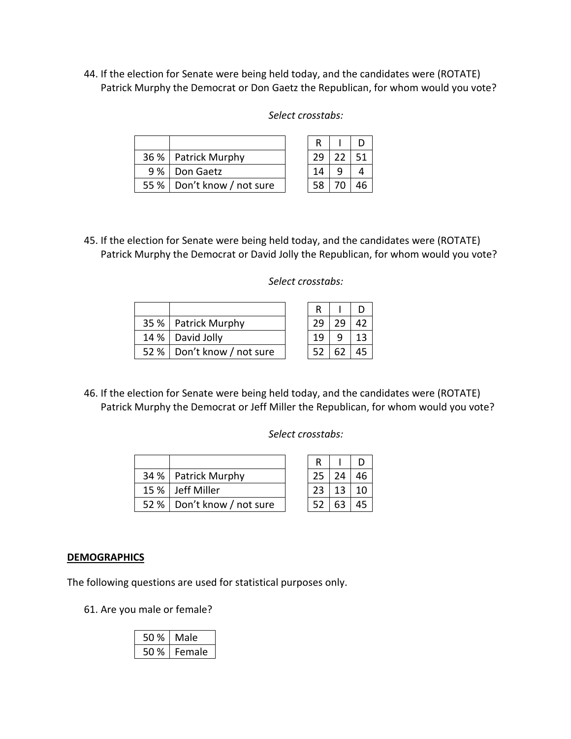44. If the election for Senate were being held today, and the candidates were (ROTATE) Patrick Murphy the Democrat or Don Gaetz the Republican, for whom would you vote?

| 36 %   Patrick Murphy        | 29 | 22 | 51 |
|------------------------------|----|----|----|
| 9 %   Don Gaetz              |    |    |    |
| 55 %   Don't know / not sure |    |    | 46 |

| 58 70 46<br>e |
|---------------|
|               |

R | I D 29 22 51

45. If the election for Senate were being held today, and the candidates were (ROTATE) Patrick Murphy the Democrat or David Jolly the Republican, for whom would you vote?

| 35 %   Patrick Murphy        |  |    |
|------------------------------|--|----|
| 14 %   David Jolly           |  | ۱3 |
| 52 %   Don't know / not sure |  |    |

## *Select crosstabs:*

| R  |    | D  |
|----|----|----|
| 29 | 29 | 42 |
| 19 | 9  | 13 |
| 52 | 62 | 45 |

46. If the election for Senate were being held today, and the candidates were (ROTATE) Patrick Murphy the Democrat or Jeff Miller the Republican, for whom would you vote?

### *Select crosstabs:*

|  | 34 %   Patrick Murphy        |  | 24                   | 46 |
|--|------------------------------|--|----------------------|----|
|  | 15 % Jeff Miller             |  | $23 \mid 13 \mid 10$ |    |
|  | 52 %   Don't know / not sure |  | 52   63              | 45 |

| R  |    | D  |
|----|----|----|
| 25 | 24 | 46 |
| 23 | 13 | 10 |
| 52 | 63 | 45 |

## **DEMOGRAPHICS**

The following questions are used for statistical purposes only.

61. Are you male or female?

| 50 % | Male   |
|------|--------|
| 50 % | Female |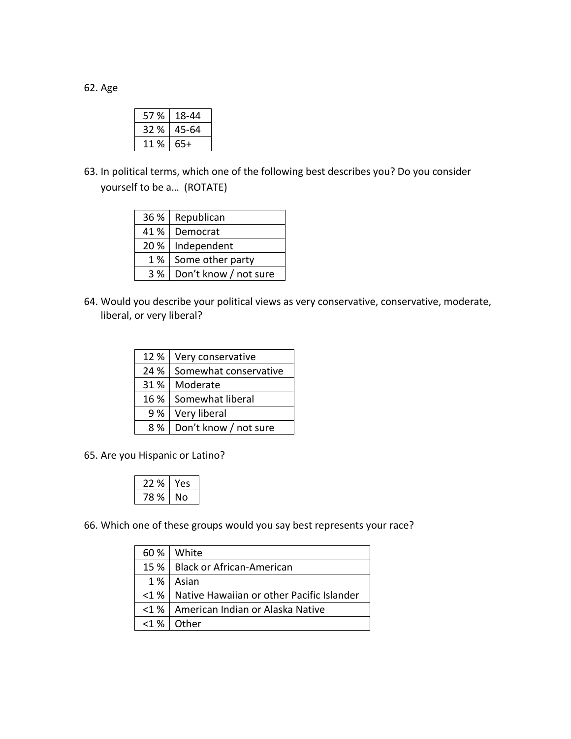62. Age

| 57 % | 18-44 |
|------|-------|
| 32 % | 45-64 |
| 11 % | 65+   |

63. In political terms, which one of the following best describes you? Do you consider yourself to be a… (ROTATE)

|       | 36 %   Republican     |
|-------|-----------------------|
|       | 41 %   Democrat       |
|       | 20 %   Independent    |
| $1\%$ | Some other party      |
| 3%    | Don't know / not sure |

64. Would you describe your political views as very conservative, conservative, moderate, liberal, or very liberal?

| 12 % | Very conservative     |
|------|-----------------------|
| 24 % | Somewhat conservative |
| 31 % | Moderate              |
| 16 % | Somewhat liberal      |
| 9 %  | Very liberal          |
| 8 %  | Don't know / not sure |

65. Are you Hispanic or Latino?

| 22% | ρς |
|-----|----|
| 78% | ი  |

66. Which one of these groups would you say best represents your race?

| 60 %            | White                                     |
|-----------------|-------------------------------------------|
| $15\%$          | <b>Black or African-American</b>          |
| 1 %             | Asian                                     |
| $<$ 1 % $\vert$ | Native Hawaiian or other Pacific Islander |
| $<$ 1 % $\vert$ | American Indian or Alaska Native          |
| <1%             | Other                                     |